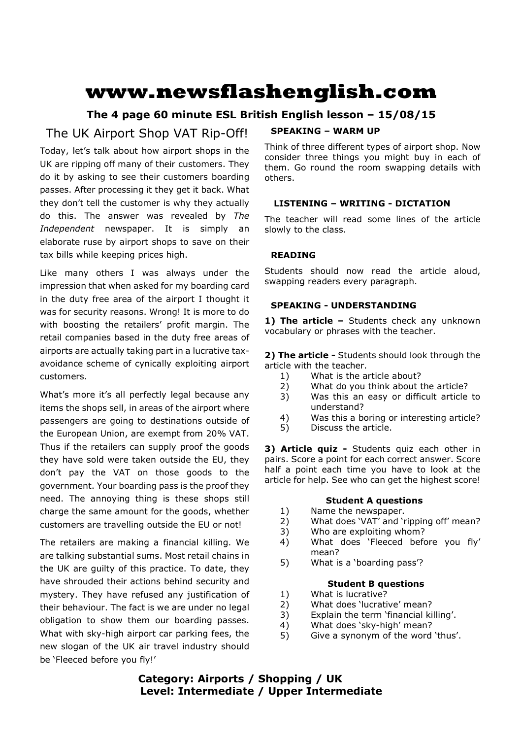# **www.newsflashenglish.com**

# **The 4 page 60 minute ESL British English lesson – 15/08/15**

# The UK Airport Shop VAT Rip-Off!

Today, let's talk about how airport shops in the UK are ripping off many of their customers. They do it by asking to see their customers boarding passes. After processing it they get it back. What they don't tell the customer is why they actually do this. The answer was revealed by *The Independent* newspaper. It is simply an elaborate ruse by airport shops to save on their tax bills while keeping prices high.

Like many others I was always under the impression that when asked for my boarding card in the duty free area of the airport I thought it was for security reasons. Wrong! It is more to do with boosting the retailers' profit margin. The retail companies based in the duty free areas of airports are actually taking part in a lucrative taxavoidance scheme of cynically exploiting airport customers.

What's more it's all perfectly legal because any items the shops sell, in areas of the airport where passengers are going to destinations outside of the European Union, are exempt from 20% VAT. Thus if the retailers can supply proof the goods they have sold were taken outside the EU, they don't pay the VAT on those goods to the government. Your boarding pass is the proof they need. The annoying thing is these shops still charge the same amount for the goods, whether customers are travelling outside the EU or not!

The retailers are making a financial killing. We are talking substantial sums. Most retail chains in the UK are guilty of this practice. To date, they have shrouded their actions behind security and mystery. They have refused any justification of their behaviour. The fact is we are under no legal obligation to show them our boarding passes. What with sky-high airport car parking fees, the new slogan of the UK air travel industry should be 'Fleeced before you fly!'

# **SPEAKING – WARM UP**

Think of three different types of airport shop. Now consider three things you might buy in each of them. Go round the room swapping details with others.

# **LISTENING – WRITING - DICTATION**

The teacher will read some lines of the article slowly to the class.

# **READING**

Students should now read the article aloud, swapping readers every paragraph.

### **SPEAKING - UNDERSTANDING**

1) The article - Students check any unknown vocabulary or phrases with the teacher.

**2) The article -** Students should look through the article with the teacher.

- 1) What is the article about?
- 2) What do you think about the article?
- 3) Was this an easy or difficult article to understand?
- 4) Was this a boring or interesting article?
- 5) Discuss the article.

**3) Article quiz -** Students quiz each other in pairs. Score a point for each correct answer. Score half a point each time you have to look at the article for help. See who can get the highest score!

### **Student A questions**

- 1) Name the newspaper.
- 2) What does 'VAT' and 'ripping off' mean?
- 3) Who are exploiting whom?
- 4) What does 'Fleeced before you fly' mean?
- 5) What is a 'boarding pass'?

### **Student B questions**

- 1) What is lucrative?
- 2) What does 'lucrative' mean?
- 3) Explain the term 'financial killing'.
- 4) What does 'sky-high' mean?
- 5) Give a synonym of the word 'thus'.

# **Category: Airports / Shopping / UK Level: Intermediate / Upper Intermediate**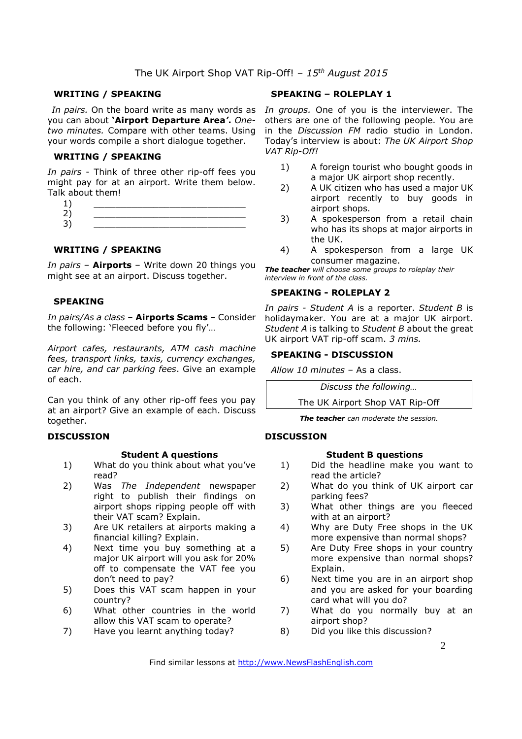# The UK Airport Shop VAT Rip-Off! *– 15th August 2015*

#### **WRITING / SPEAKING**

you can about **'Airport Departure Area***'***.** *Onetwo minutes.* Compare with other teams. Using your words compile a short dialogue together.

#### **WRITING / SPEAKING**

*In pairs* - Think of three other rip-off fees you might pay for at an airport. Write them below. Talk about them!

### **WRITING / SPEAKING**

*In pairs* – **Airports** – Write down 20 things you might see at an airport. Discuss together.

#### **SPEAKING**

*In pairs/As a class* – **Airports Scams** – Consider the following: 'Fleeced before you fly'…

*Airport cafes, restaurants, ATM cash machine fees, transport links, taxis, currency exchanges, car hire, and car parking fees*. Give an example of each.

Can you think of any other rip-off fees you pay at an airport? Give an example of each. Discuss together.

#### **DISCUSSION**

#### **Student A questions**

- 1) What do you think about what you've read?
- 2) Was *The Independent* newspaper right to publish their findings on airport shops ripping people off with their VAT scam? Explain.
- 3) Are UK retailers at airports making a financial killing? Explain.
- 4) Next time you buy something at a major UK airport will you ask for 20% off to compensate the VAT fee you don't need to pay?
- 5) Does this VAT scam happen in your country?
- 6) What other countries in the world allow this VAT scam to operate?
- 7) Have you learnt anything today?

#### **SPEAKING – ROLEPLAY 1**

In pairs. On the board write as many words as In groups. One of you is the interviewer. The others are one of the following people. You are in the *Discussion FM* radio studio in London. Today's interview is about: *The UK Airport Shop VAT Rip-Off!*

- 1) A foreign tourist who bought goods in a major UK airport shop recently.
- 2) A UK citizen who has used a major UK airport recently to buy goods in airport shops.
- 3) A spokesperson from a retail chain who has its shops at major airports in the UK.
- 4) A spokesperson from a large UK consumer magazine.

*The teacher will choose some groups to roleplay their interview in front of the class.* 

# **SPEAKING - ROLEPLAY 2**

*In pairs - Student A* is a reporter. *Student B* is holidaymaker. You are at a major UK airport. *Student A* is talking to *Student B* about the great UK airport VAT rip-off scam. *3 mins.* 

#### **SPEAKING - DISCUSSION**

*Allow 10 minutes* – As a class.

*Discuss the following…* 

The UK Airport Shop VAT Rip-Off

*The teacher can moderate the session.*

#### **DISCUSSION**

#### **Student B questions**

- 1) Did the headline make you want to read the article?
- 2) What do you think of UK airport car parking fees?
- 3) What other things are you fleeced with at an airport?
- 4) Why are Duty Free shops in the UK more expensive than normal shops?
- 5) Are Duty Free shops in your country more expensive than normal shops? Explain.
- 6) Next time you are in an airport shop and you are asked for your boarding card what will you do?
- 7) What do you normally buy at an airport shop?
- 8) Did you like this discussion?

Find similar lessons at http://www.NewsFlashEnglish.com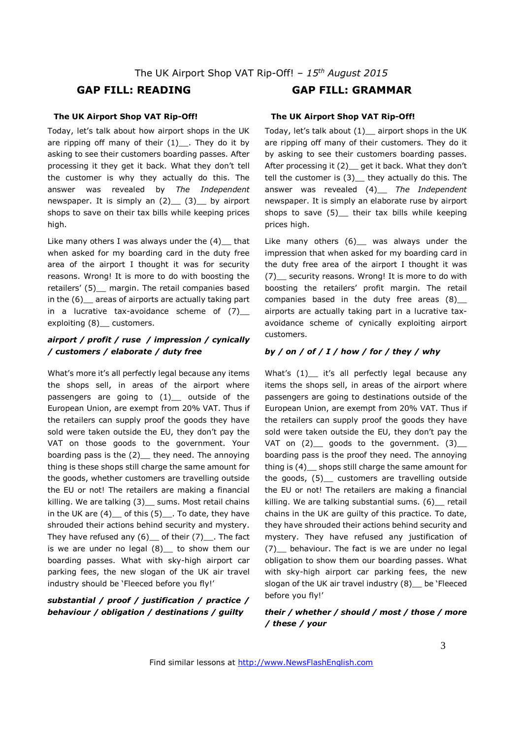# **GAP FILL: READING GAP FILL: GRAMMAR**

#### **The UK Airport Shop VAT Rip-Off!**

Today, let's talk about how airport shops in the UK are ripping off many of their  $(1)$ . They do it by asking to see their customers boarding passes. After processing it they get it back. What they don't tell the customer is why they actually do this. The answer was revealed by *The Independent* newspaper. It is simply an  $(2)$   $(3)$  by airport shops to save on their tax bills while keeping prices high.

Like many others I was always under the  $(4)$  that when asked for my boarding card in the duty free area of the airport I thought it was for security reasons. Wrong! It is more to do with boosting the retailers' (5) margin. The retail companies based in the (6)\_\_ areas of airports are actually taking part in a lucrative tax-avoidance scheme of  $(7)$ exploiting (8) customers.

## *airport / profit / ruse / impression / cynically / customers / elaborate / duty free*

What's more it's all perfectly legal because any items the shops sell, in areas of the airport where passengers are going to (1) outside of the European Union, are exempt from 20% VAT. Thus if the retailers can supply proof the goods they have sold were taken outside the EU, they don't pay the VAT on those goods to the government. Your boarding pass is the  $(2)$  they need. The annoying thing is these shops still charge the same amount for the goods, whether customers are travelling outside the EU or not! The retailers are making a financial killing. We are talking (3)\_ sums. Most retail chains in the UK are  $(4)$  of this  $(5)$  . To date, they have shrouded their actions behind security and mystery. They have refused any  $(6)$  of their  $(7)$  . The fact is we are under no legal  $(8)$  to show them our boarding passes. What with sky-high airport car parking fees, the new slogan of the UK air travel industry should be 'Fleeced before you fly!'

#### *substantial / proof / justification / practice / behaviour / obligation / destinations / guilty*

# **The UK Airport Shop VAT Rip-Off!**

Today, let's talk about (1)\_\_ airport shops in the UK are ripping off many of their customers. They do it by asking to see their customers boarding passes. After processing it (2) get it back. What they don't tell the customer is  $(3)$  they actually do this. The answer was revealed (4)\_\_ *The Independent* newspaper. It is simply an elaborate ruse by airport shops to save  $(5)$  their tax bills while keeping prices high.

Like many others (6) \_ was always under the impression that when asked for my boarding card in the duty free area of the airport I thought it was (7)\_\_ security reasons. Wrong! It is more to do with boosting the retailers' profit margin. The retail companies based in the duty free areas  $(8)$ airports are actually taking part in a lucrative taxavoidance scheme of cynically exploiting airport customers.

#### *by / on / of / I / how / for / they / why*

What's (1) it's all perfectly legal because any items the shops sell, in areas of the airport where passengers are going to destinations outside of the European Union, are exempt from 20% VAT. Thus if the retailers can supply proof the goods they have sold were taken outside the EU, they don't pay the VAT on  $(2)$  goods to the government.  $(3)$ boarding pass is the proof they need. The annoying thing is (4)\_\_ shops still charge the same amount for the goods, (5) customers are travelling outside the EU or not! The retailers are making a financial killing. We are talking substantial sums. (6) retail chains in the UK are guilty of this practice. To date, they have shrouded their actions behind security and mystery. They have refused any justification of (7)\_\_ behaviour. The fact is we are under no legal obligation to show them our boarding passes. What with sky-high airport car parking fees, the new slogan of the UK air travel industry (8) be 'Fleeced before you fly!'

*their / whether / should / most / those / more / these / your*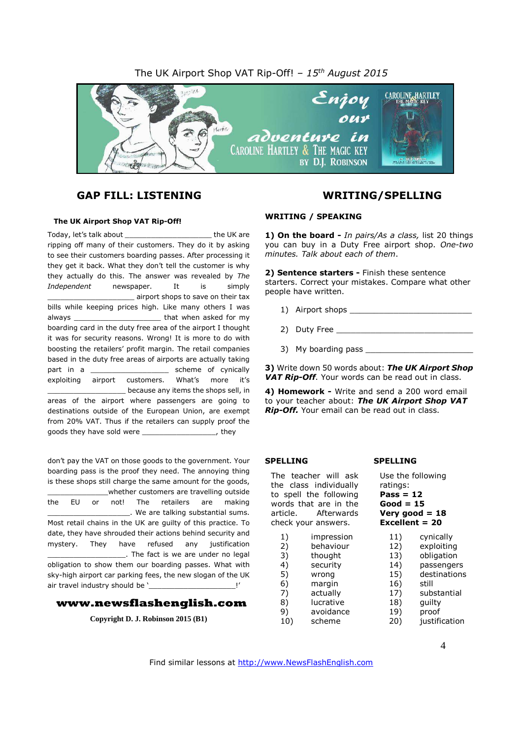# The UK Airport Shop VAT Rip-Off! *– 15 th August 2015*



# **GAP FILL: LISTENING WRITING/SPELLING**

#### **The UK Airport Shop VAT Rip-Off!**

Today, let's talk about the UK are ripping off many of their customers. They do it by asking to see their customers boarding passes. After processing it they get it back. What they don't tell the customer is why they actually do this. The answer was revealed by *The Independent* newspaper. It is simply \_\_\_\_\_\_\_\_\_\_\_\_\_\_\_\_\_\_\_\_ airport shops to save on their tax bills while keeping prices high. Like many others I was always \_\_\_\_\_\_\_\_\_\_\_\_\_\_\_\_\_\_\_\_ that when asked for my boarding card in the duty free area of the airport I thought it was for security reasons. Wrong! It is more to do with boosting the retailers' profit margin. The retail companies based in the duty free areas of airports are actually taking part in a scheme of cynically exploiting airport customers. What's more it's \_\_\_\_\_\_\_\_\_\_\_\_\_\_\_\_\_\_ because any items the shops sell, in areas of the airport where passengers are going to

destinations outside of the European Union, are exempt from 20% VAT. Thus if the retailers can supply proof the goods they have sold were \_\_\_\_\_\_\_\_\_\_\_\_\_\_\_\_\_, they

don't pay the VAT on those goods to the government. Your boarding pass is the proof they need. The annoying thing is these shops still charge the same amount for the goods, whether customers are travelling outside the EU or not! The retailers are making \_\_\_\_\_\_\_\_\_\_\_\_\_\_\_\_\_\_\_. We are talking substantial sums. Most retail chains in the UK are guilty of this practice. To date, they have shrouded their actions behind security and mystery. They have refused any justification \_\_\_\_\_\_\_\_\_\_\_\_\_\_\_\_\_\_. The fact is we are under no legal obligation to show them our boarding passes. What with sky-high airport car parking fees, the new slogan of the UK air travel industry should be '

#### **www.newsflashenglish.com**

**Copyright D. J. Robinson 2015 (B1)**

#### **WRITING / SPEAKING**

**1) On the board -** *In pairs/As a class,* list 20 things you can buy in a Duty Free airport shop. *One-two minutes. Talk about each of them*.

**2) Sentence starters -** Finish these sentence starters. Correct your mistakes. Compare what other people have written.

- 1) Airport shops
- 2) Duty Free
- 3) My boarding pass \_\_\_\_\_\_\_

**3)** Write down 50 words about: *The UK Airport Shop VAT Rip-Off*. Your words can be read out in class.

**4) Homework -** Write and send a 200 word email to your teacher about: *The UK Airport Shop VAT Rip-Off.* Your email can be read out in class.

#### **SPELLING**

The teacher will ask the class individually to spell the following words that are in the article. Afterwards check your answers. 1) impression<br>2) behaviour 2) behaviour

- 3) thought<br>4) security security 5) wrong 6) margin
- 7) actually
- 8) lucrative<br>9) avoidanc 9) avoidance
- 10) scheme

#### **SPELLING**

Use the following ratings: **Pass = 12 Good = 15 Very good = 18 Excellent = 20** 11) cynically

- 12) exploiting 13) obligation 14) passengers 15) destinations 16) still 17) substantial 18) guilty 19) proof
- 20) justification

Find similar lessons at http://www.NewsFlashEnglish.com